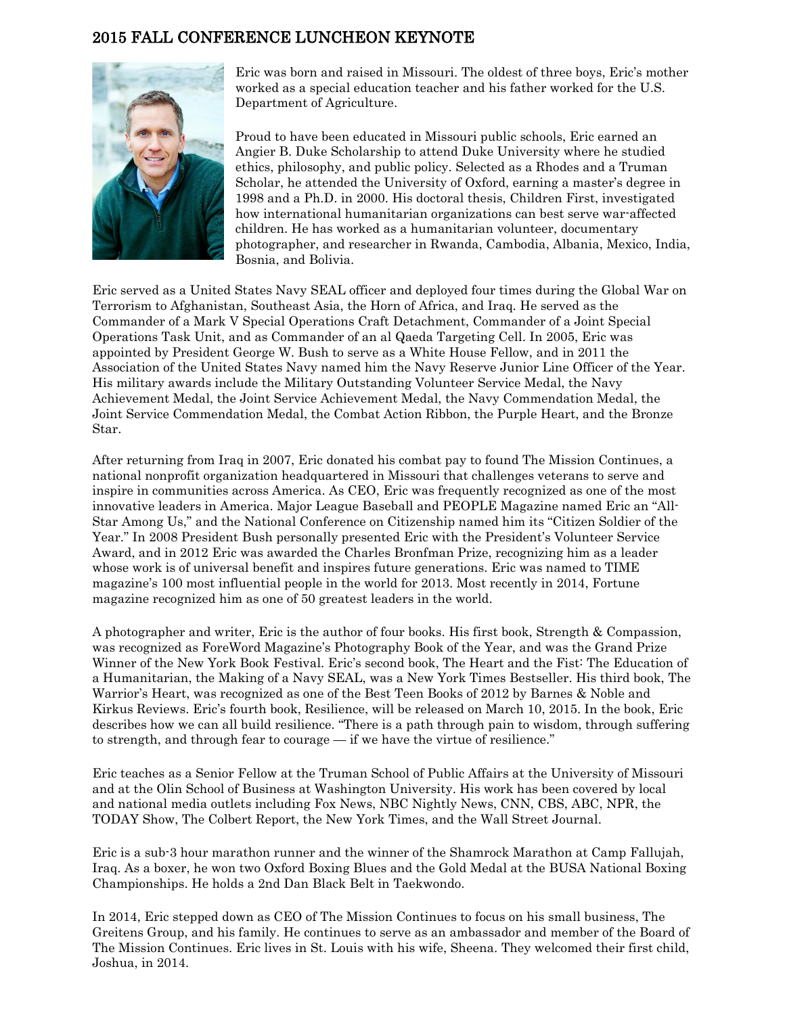## 2015 FALL CONFERENCE LUNCHEON KEYNOTE



Eric was born and raised in Missouri. The oldest of three boys, Eric's mother worked as a special education teacher and his father worked for the U.S. Department of Agriculture.

Proud to have been educated in Missouri public schools, Eric earned an Angier B. Duke Scholarship to attend Duke University where he studied ethics, philosophy, and public policy. Selected as a Rhodes and a Truman Scholar, he attended the University of Oxford, earning a master's degree in 1998 and a Ph.D. in 2000. His doctoral thesis, Children First, investigated how international humanitarian organizations can best serve war-affected children. He has worked as a humanitarian volunteer, documentary photographer, and researcher in Rwanda, Cambodia, Albania, Mexico, India, Bosnia, and Bolivia.

Eric served as a United States Navy SEAL officer and deployed four times during the Global War on Terrorism to Afghanistan, Southeast Asia, the Horn of Africa, and Iraq. He served as the Commander of a Mark V Special Operations Craft Detachment, Commander of a Joint Special Operations Task Unit, and as Commander of an al Qaeda Targeting Cell. In 2005, Eric was appointed by President George W. Bush to serve as a White House Fellow, and in 2011 the Association of the United States Navy named him the Navy Reserve Junior Line Officer of the Year. His military awards include the Military Outstanding Volunteer Service Medal, the Navy Achievement Medal, the Joint Service Achievement Medal, the Navy Commendation Medal, the Joint Service Commendation Medal, the Combat Action Ribbon, the Purple Heart, and the Bronze Star.

After returning from Iraq in 2007, Eric donated his combat pay to found The Mission Continues, a national nonprofit organization headquartered in Missouri that challenges veterans to serve and inspire in communities across America. As CEO, Eric was frequently recognized as one of the most innovative leaders in America. Major League Baseball and PEOPLE Magazine named Eric an "All-Star Among Us," and the National Conference on Citizenship named him its "Citizen Soldier of the Year." In 2008 President Bush personally presented Eric with the President's Volunteer Service Award, and in 2012 Eric was awarded the Charles Bronfman Prize, recognizing him as a leader whose work is of universal benefit and inspires future generations. Eric was named to TIME magazine's 100 most influential people in the world for 2013. Most recently in 2014, Fortune magazine recognized him as one of 50 greatest leaders in the world.

A photographer and writer, Eric is the author of four books. His first book, Strength & Compassion, was recognized as ForeWord Magazine's Photography Book of the Year, and was the Grand Prize Winner of the New York Book Festival. Eric's second book, The Heart and the Fist: The Education of a Humanitarian, the Making of a Navy SEAL, was a New York Times Bestseller. His third book, The Warrior's Heart, was recognized as one of the Best Teen Books of 2012 by Barnes & Noble and Kirkus Reviews. Eric's fourth book, Resilience, will be released on March 10, 2015. In the book, Eric describes how we can all build resilience. "There is a path through pain to wisdom, through suffering to strength, and through fear to courage — if we have the virtue of resilience."

Eric teaches as a Senior Fellow at the Truman School of Public Affairs at the University of Missouri and at the Olin School of Business at Washington University. His work has been covered by local and national media outlets including Fox News, NBC Nightly News, CNN, CBS, ABC, NPR, the TODAY Show, The Colbert Report, the New York Times, and the Wall Street Journal.

Eric is a sub-3 hour marathon runner and the winner of the Shamrock Marathon at Camp Fallujah, Iraq. As a boxer, he won two Oxford Boxing Blues and the Gold Medal at the BUSA National Boxing Championships. He holds a 2nd Dan Black Belt in Taekwondo.

In 2014, Eric stepped down as CEO of The Mission Continues to focus on his small business, The Greitens Group, and his family. He continues to serve as an ambassador and member of the Board of The Mission Continues. Eric lives in St. Louis with his wife, Sheena. They welcomed their first child, Joshua, in 2014.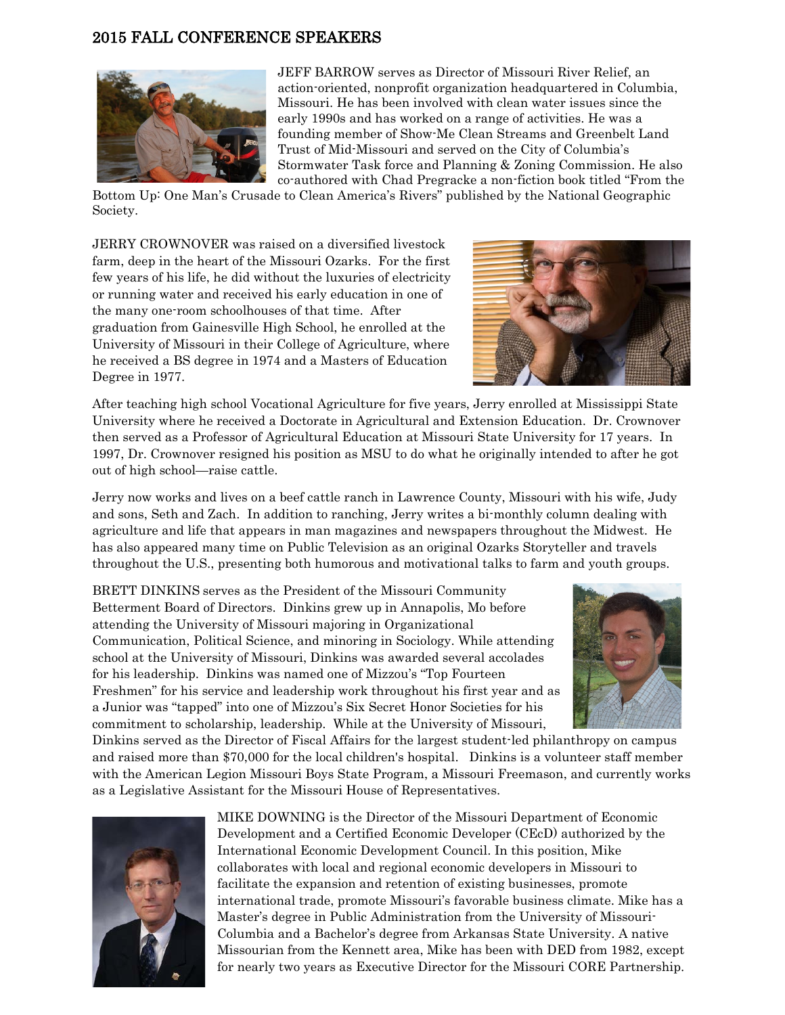## 2015 FALL CONFERENCE SPEAKERS



JEFF BARROW serves as Director of Missouri River Relief, an action-oriented, nonprofit organization headquartered in Columbia, Missouri. He has been involved with clean water issues since the early 1990s and has worked on a range of activities. He was a founding member of Show-Me Clean Streams and Greenbelt Land Trust of Mid-Missouri and served on the City of Columbia's Stormwater Task force and Planning & Zoning Commission. He also co-authored with Chad Pregracke a non-fiction book titled "From the

Bottom Up: One Man's Crusade to Clean America's Rivers" published by the National Geographic Society.

JERRY CROWNOVER was raised on a diversified livestock farm, deep in the heart of the Missouri Ozarks. For the first few years of his life, he did without the luxuries of electricity or running water and received his early education in one of the many one-room schoolhouses of that time. After graduation from Gainesville High School, he enrolled at the University of Missouri in their College of Agriculture, where he received a BS degree in 1974 and a Masters of Education Degree in 1977.



After teaching high school Vocational Agriculture for five years, Jerry enrolled at Mississippi State University where he received a Doctorate in Agricultural and Extension Education. Dr. Crownover then served as a Professor of Agricultural Education at Missouri State University for 17 years. In 1997, Dr. Crownover resigned his position as MSU to do what he originally intended to after he got out of high school—raise cattle.

Jerry now works and lives on a beef cattle ranch in Lawrence County, Missouri with his wife, Judy and sons, Seth and Zach. In addition to ranching, Jerry writes a bi-monthly column dealing with agriculture and life that appears in man magazines and newspapers throughout the Midwest. He has also appeared many time on Public Television as an original Ozarks Storyteller and travels throughout the U.S., presenting both humorous and motivational talks to farm and youth groups.

BRETT DINKINS serves as the President of the Missouri Community Betterment Board of Directors. Dinkins grew up in Annapolis, Mo before attending the University of Missouri majoring in Organizational Communication, Political Science, and minoring in Sociology. While attending school at the University of Missouri, Dinkins was awarded several accolades for his leadership. Dinkins was named one of Mizzou's "Top Fourteen Freshmen" for his service and leadership work throughout his first year and as a Junior was "tapped" into one of Mizzou's Six Secret Honor Societies for his commitment to scholarship, leadership. While at the University of Missouri,



Dinkins served as the Director of Fiscal Affairs for the largest student-led philanthropy on campus and raised more than \$70,000 for the local children's hospital. Dinkins is a volunteer staff member with the American Legion Missouri Boys State Program, a Missouri Freemason, and currently works as a Legislative Assistant for the Missouri House of Representatives.



MIKE DOWNING is the Director of the Missouri Department of Economic Development and a Certified Economic Developer (CEcD) authorized by the International Economic Development Council. In this position, Mike collaborates with local and regional economic developers in Missouri to facilitate the expansion and retention of existing businesses, promote international trade, promote Missouri's favorable business climate. Mike has a Master's degree in Public Administration from the University of Missouri-Columbia and a Bachelor's degree from Arkansas State University. A native Missourian from the Kennett area, Mike has been with DED from 1982, except for nearly two years as Executive Director for the Missouri CORE Partnership.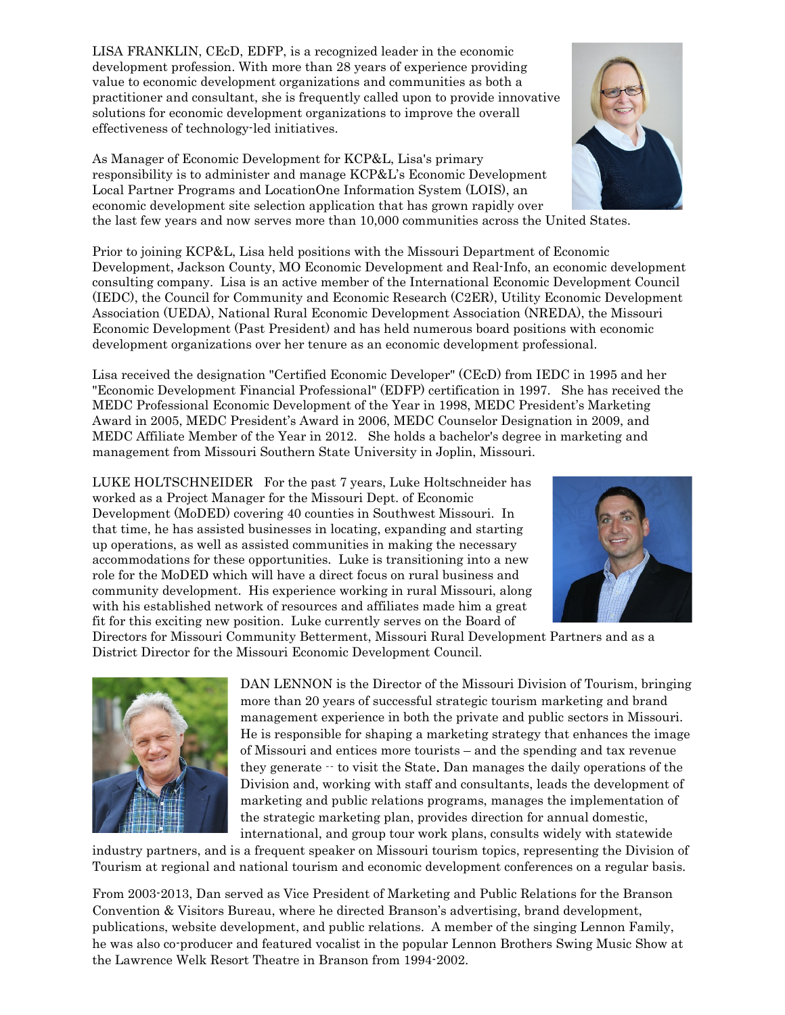LISA FRANKLIN, CEcD, EDFP, is a recognized leader in the economic development profession. With more than 28 years of experience providing value to economic development organizations and communities as both a practitioner and consultant, she is frequently called upon to provide innovative solutions for economic development organizations to improve the overall effectiveness of technology-led initiatives.

As Manager of Economic Development for KCP&L, Lisa's primary responsibility is to administer and manage KCP&L's Economic Development Local Partner Programs and LocationOne Information System (LOIS), an economic development site selection application that has grown rapidly over the last few years and now serves more than 10,000 communities across the United States.

Prior to joining KCP&L, Lisa held positions with the Missouri Department of Economic Development, Jackson County, MO Economic Development and Real-Info, an economic development consulting company. Lisa is an active member of the International Economic Development Council (IEDC), the Council for Community and Economic Research (C2ER), Utility Economic Development Association (UEDA), National Rural Economic Development Association (NREDA), the Missouri Economic Development (Past President) and has held numerous board positions with economic development organizations over her tenure as an economic development professional.

Lisa received the designation "Certified Economic Developer" (CEcD) from IEDC in 1995 and her "Economic Development Financial Professional" (EDFP) certification in 1997. She has received the MEDC Professional Economic Development of the Year in 1998, MEDC President's Marketing Award in 2005, MEDC President's Award in 2006, MEDC Counselor Designation in 2009, and MEDC Affiliate Member of the Year in 2012. She holds a bachelor's degree in marketing and management from Missouri Southern State University in Joplin, Missouri.

LUKE HOLTSCHNEIDER For the past 7 years, Luke Holtschneider has worked as a Project Manager for the Missouri Dept. of Economic Development (MoDED) covering 40 counties in Southwest Missouri. In that time, he has assisted businesses in locating, expanding and starting up operations, as well as assisted communities in making the necessary accommodations for these opportunities. Luke is transitioning into a new role for the MoDED which will have a direct focus on rural business and community development. His experience working in rural Missouri, along with his established network of resources and affiliates made him a great fit for this exciting new position. Luke currently serves on the Board of

Directors for Missouri Community Betterment, Missouri Rural Development Partners and as a District Director for the Missouri Economic Development Council.

> DAN LENNON is the Director of the Missouri Division of Tourism, bringing more than 20 years of successful strategic tourism marketing and brand management experience in both the private and public sectors in Missouri. He is responsible for shaping a marketing strategy that enhances the image of Missouri and entices more tourists – and the spending and tax revenue they generate -- to visit the State. Dan manages the daily operations of the Division and, working with staff and consultants, leads the development of marketing and public relations programs, manages the implementation of the strategic marketing plan, provides direction for annual domestic, international, and group tour work plans, consults widely with statewide

industry partners, and is a frequent speaker on Missouri tourism topics, representing the Division of Tourism at regional and national tourism and economic development conferences on a regular basis.

From 2003-2013, Dan served as Vice President of Marketing and Public Relations for the Branson Convention & Visitors Bureau, where he directed Branson's advertising, brand development, publications, website development, and public relations. A member of the singing Lennon Family, he was also co-producer and featured vocalist in the popular Lennon Brothers Swing Music Show at the Lawrence Welk Resort Theatre in Branson from 1994-2002.





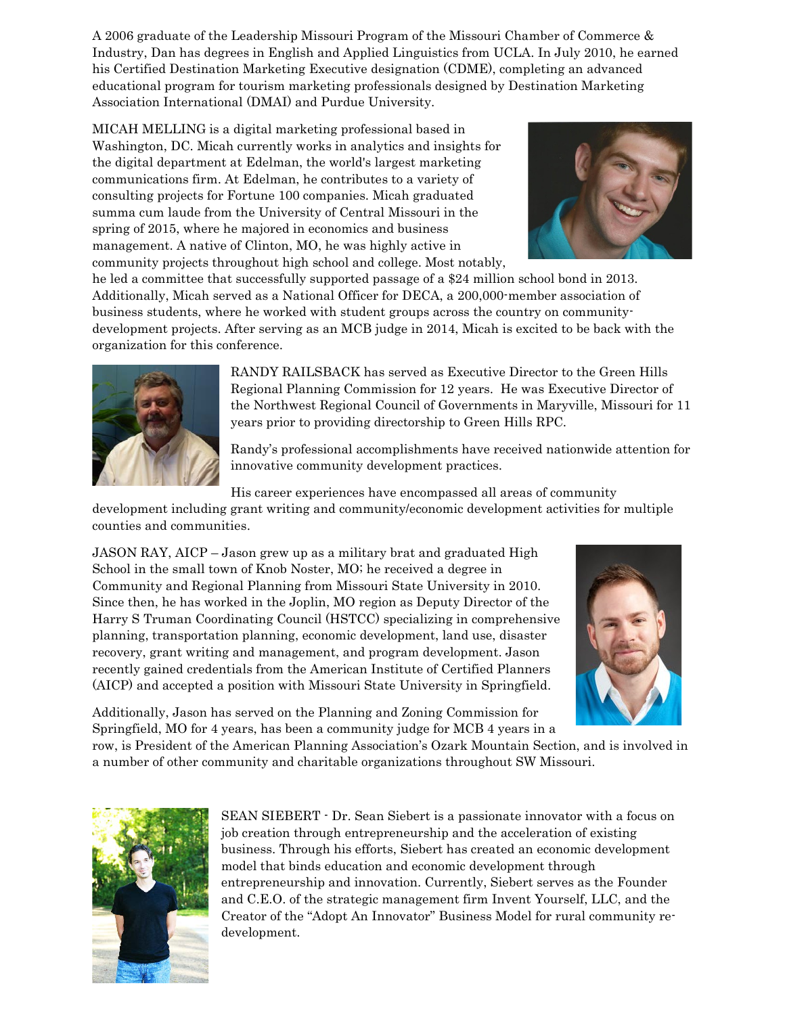A 2006 graduate of the Leadership Missouri Program of the Missouri Chamber of Commerce & Industry, Dan has degrees in English and Applied Linguistics from UCLA. In July 2010, he earned his Certified Destination Marketing Executive designation (CDME), completing an advanced educational program for tourism marketing professionals designed by Destination Marketing Association International (DMAI) and Purdue University.

MICAH MELLING is a digital marketing professional based in Washington, DC. Micah currently works in analytics and insights for the digital department at Edelman, the world's largest marketing communications firm. At Edelman, he contributes to a variety of consulting projects for Fortune 100 companies. Micah graduated summa cum laude from the University of Central Missouri in the spring of 2015, where he majored in economics and business management. A native of Clinton, MO, he was highly active in community projects throughout high school and college. Most notably,



he led a committee that successfully supported passage of a \$24 million school bond in 2013. Additionally, Micah served as a National Officer for DECA, a 200,000-member association of business students, where he worked with student groups across the country on communitydevelopment projects. After serving as an MCB judge in 2014, Micah is excited to be back with the organization for this conference.



RANDY RAILSBACK has served as Executive Director to the Green Hills Regional Planning Commission for 12 years. He was Executive Director of the Northwest Regional Council of Governments in Maryville, Missouri for 11 years prior to providing directorship to Green Hills RPC.

Randy's professional accomplishments have received nationwide attention for innovative community development practices.

His career experiences have encompassed all areas of community

development including grant writing and community/economic development activities for multiple counties and communities.

JASON RAY, AICP – Jason grew up as a military brat and graduated High School in the small town of Knob Noster, MO; he received a degree in Community and Regional Planning from Missouri State University in 2010. Since then, he has worked in the Joplin, MO region as Deputy Director of the Harry S Truman Coordinating Council (HSTCC) specializing in comprehensive planning, transportation planning, economic development, land use, disaster recovery, grant writing and management, and program development. Jason recently gained credentials from the American Institute of Certified Planners (AICP) and accepted a position with Missouri State University in Springfield.



Additionally, Jason has served on the Planning and Zoning Commission for Springfield, MO for 4 years, has been a community judge for MCB 4 years in a

row, is President of the American Planning Association's Ozark Mountain Section, and is involved in a number of other community and charitable organizations throughout SW Missouri.



SEAN SIEBERT - Dr. Sean Siebert is a passionate innovator with a focus on job creation through entrepreneurship and the acceleration of existing business. Through his efforts, Siebert has created an economic development model that binds education and economic development through entrepreneurship and innovation. Currently, Siebert serves as the Founder and C.E.O. of the strategic management firm Invent Yourself, LLC, and the Creator of the "Adopt An Innovator" Business Model for rural community redevelopment.